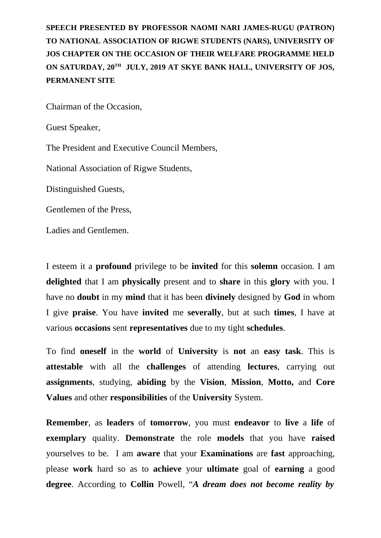**SPEECH PRESENTED BY PROFESSOR NAOMI NARI JAMES-RUGU (PATRON) TO NATIONAL ASSOCIATION OF RIGWE STUDENTS (NARS), UNIVERSITY OF JOS CHAPTER ON THE OCCASION OF THEIR WELFARE PROGRAMME HELD ON SATURDAY, 20TH JULY, 2019 AT SKYE BANK HALL, UNIVERSITY OF JOS, PERMANENT SITE**

Chairman of the Occasion,

Guest Speaker,

The President and Executive Council Members,

National Association of Rigwe Students,

Distinguished Guests,

Gentlemen of the Press,

Ladies and Gentlemen.

I esteem it a **profound** privilege to be **invited** for this **solemn** occasion. I am **delighted** that I am **physically** present and to **share** in this **glory** with you. I have no **doubt** in my **mind** that it has been **divinely** designed by **God** in whom I give **praise**. You have **invited** me **severally**, but at such **times**, I have at various **occasions** sent **representatives** due to my tight **schedules**.

To find **oneself** in the **world** of **University** is **not** an **easy task**. This is **attestable** with all the **challenges** of attending **lectures**, carrying out **assignments**, studying, **abiding** by the **Vision**, **Mission**, **Motto,** and **Core Values** and other **responsibilities** of the **University** System.

**Remember**, as **leaders** of **tomorrow**, you must **endeavor** to **live** a **life** of **exemplary** quality. **Demonstrate** the role **models** that you have **raised** yourselves to be. I am **aware** that your **Examinations** are **fast** approaching, please **work** hard so as to **achieve** your **ultimate** goal of **earning** a good **degree**. According to **Collin** Powell, "*A dream does not become reality by*